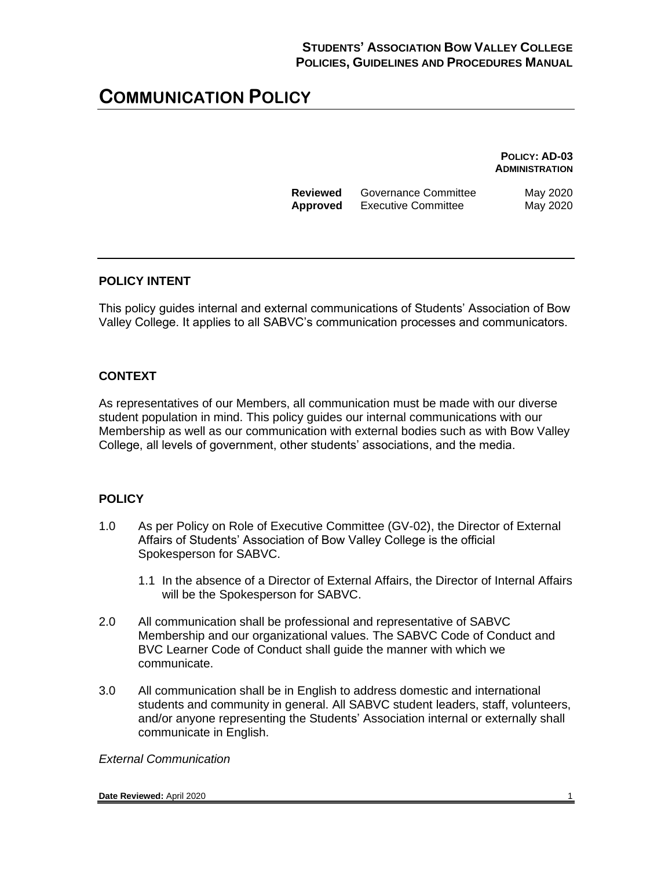## **COMMUNICATION POLICY**

**POLICY: AD-03 ADMINISTRATION**

| Reviewed | <b>Governance Committee</b> | May 2020 |
|----------|-----------------------------|----------|
| Approved | <b>Executive Committee</b>  | May 2020 |

### **POLICY INTENT**

This policy guides internal and external communications of Students' Association of Bow Valley College. It applies to all SABVC's communication processes and communicators.

## **CONTEXT**

As representatives of our Members, all communication must be made with our diverse student population in mind. This policy guides our internal communications with our Membership as well as our communication with external bodies such as with Bow Valley College, all levels of government, other students' associations, and the media.

#### **POLICY**

- 1.0 As per Policy on Role of Executive Committee (GV-02), the Director of External Affairs of Students' Association of Bow Valley College is the official Spokesperson for SABVC.
	- 1.1 In the absence of a Director of External Affairs, the Director of Internal Affairs will be the Spokesperson for SABVC.
- 2.0 All communication shall be professional and representative of SABVC Membership and our organizational values. The SABVC Code of Conduct and BVC Learner Code of Conduct shall guide the manner with which we communicate.
- 3.0 All communication shall be in English to address domestic and international students and community in general. All SABVC student leaders, staff, volunteers, and/or anyone representing the Students' Association internal or externally shall communicate in English.

*External Communication*